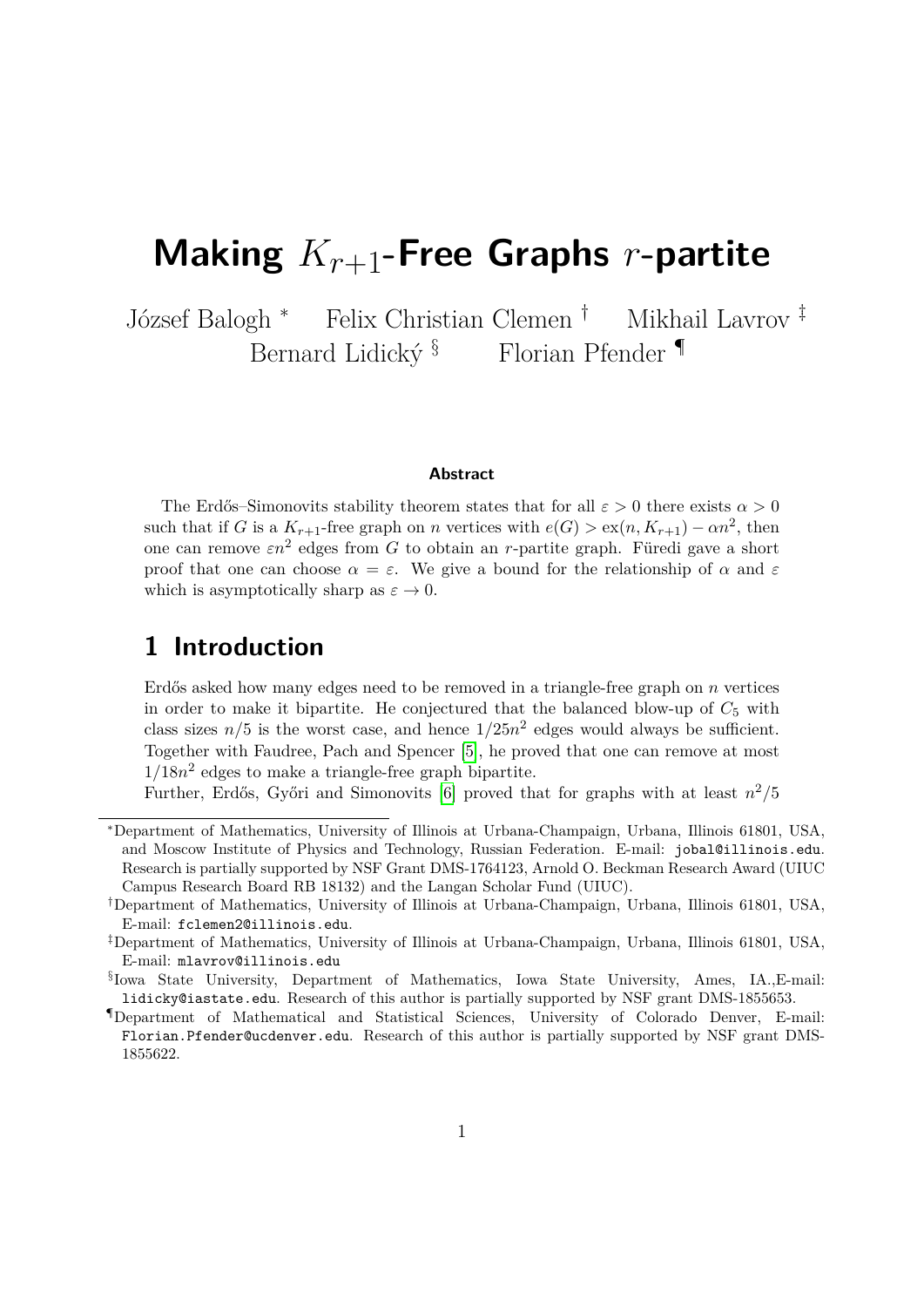# **Making** *Kr*+1**-Free Graphs** *r***-partite**

József Balogh <sup>∗</sup> Felix Christian Clemen † Mikhail Lavrov ‡ Bernard Lidický  $\S$  Florian Pfender  $\P$ 

#### **Abstract**

The Erdős–Simonovits stability theorem states that for all  $\varepsilon > 0$  there exists  $\alpha > 0$ such that if *G* is a  $K_{r+1}$ -free graph on *n* vertices with  $e(G) > \text{ex}(n, K_{r+1}) - \alpha n^2$ , then one can remove  $\varepsilon n^2$  edges from *G* to obtain an *r*-partite graph. Füredi gave a short proof that one can choose  $\alpha = \varepsilon$ . We give a bound for the relationship of  $\alpha$  and  $\varepsilon$ which is asymptotically sharp as  $\varepsilon \to 0$ .

### **1 Introduction**

Erdős asked how many edges need to be removed in a triangle-free graph on *n* vertices in order to make it bipartite. He conjectured that the balanced blow-up of  $C_5$  with class sizes  $n/5$  is the worst case, and hence  $1/25n^2$  edges would always be sufficient. Together with Faudree, Pach and Spencer [\[5\]](#page-10-0), he proved that one can remove at most  $1/18n^2$  edges to make a triangle-free graph bipartite.

Further, Erdős, Győri and Simonovits [\[6\]](#page-10-1) proved that for graphs with at least  $n^2/5$ 

<sup>∗</sup>Department of Mathematics, University of Illinois at Urbana-Champaign, Urbana, Illinois 61801, USA, and Moscow Institute of Physics and Technology, Russian Federation. E-mail: jobal@illinois.edu. Research is partially supported by NSF Grant DMS-1764123, Arnold O. Beckman Research Award (UIUC Campus Research Board RB 18132) and the Langan Scholar Fund (UIUC).

<sup>†</sup>Department of Mathematics, University of Illinois at Urbana-Champaign, Urbana, Illinois 61801, USA, E-mail: fclemen2@illinois.edu.

<sup>‡</sup>Department of Mathematics, University of Illinois at Urbana-Champaign, Urbana, Illinois 61801, USA, E-mail: mlavrov@illinois.edu

<sup>§</sup> Iowa State University, Department of Mathematics, Iowa State University, Ames, IA.,E-mail: lidicky@iastate.edu. Research of this author is partially supported by NSF grant DMS-1855653.

<sup>¶</sup>Department of Mathematical and Statistical Sciences, University of Colorado Denver, E-mail: Florian.Pfender@ucdenver.edu. Research of this author is partially supported by NSF grant DMS-1855622.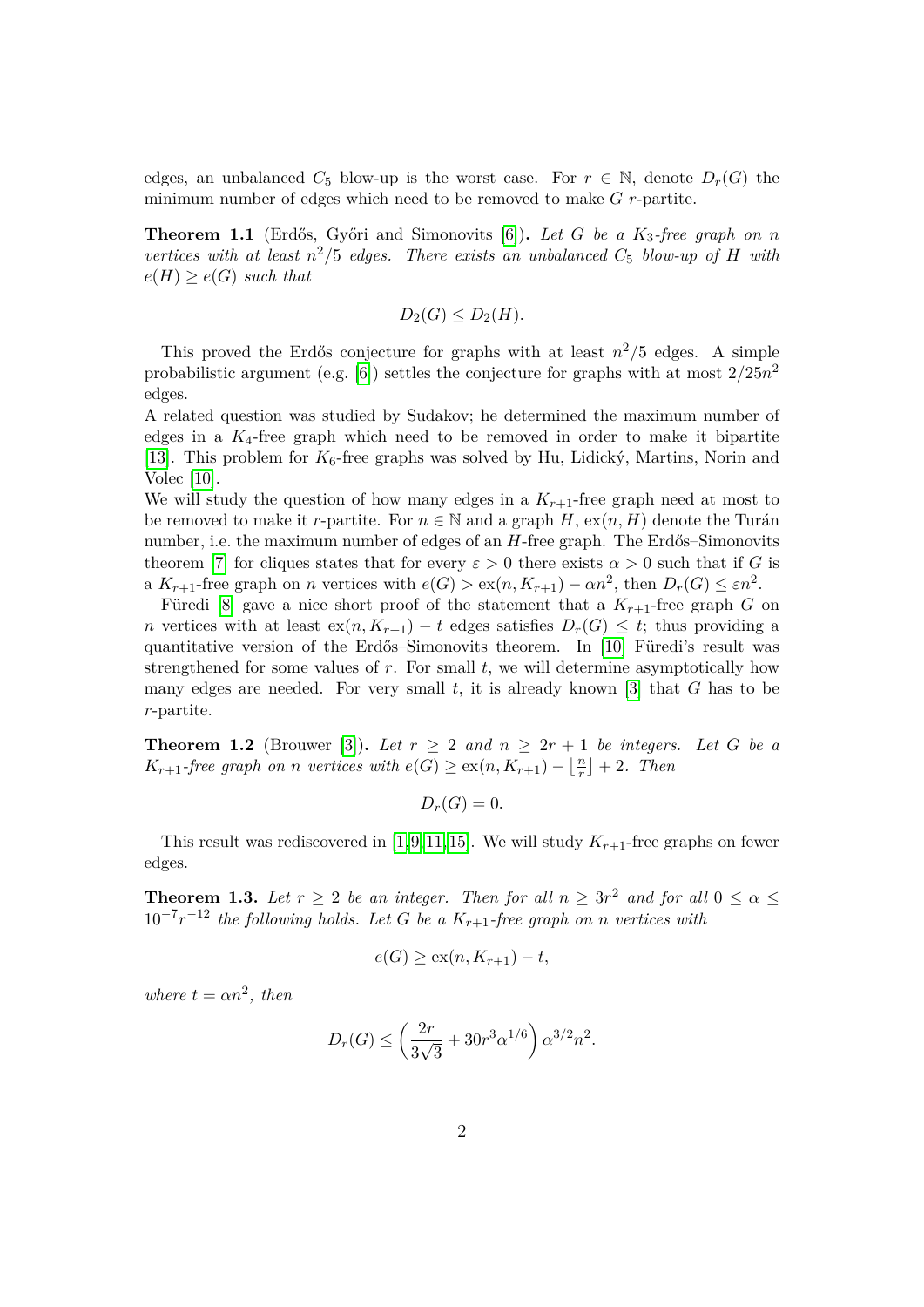edges, an unbalanced  $C_5$  blow-up is the worst case. For  $r \in \mathbb{N}$ , denote  $D_r(G)$  the minimum number of edges which need to be removed to make *G r*-partite.

<span id="page-1-1"></span>**Theorem 1.1** (Erdős, Győri and Simonovits [\[6\]](#page-10-1)). Let G be a K<sub>3</sub>-free graph on *n vertices with at least*  $n^2/5$  *edges. There exists an unbalanced*  $C_5$  *blow-up of*  $H$  *with*  $e(H) \geq e(G)$  *such that* 

$$
D_2(G) \le D_2(H).
$$

This proved the Erdős conjecture for graphs with at least  $n^2/5$  edges. A simple probabilistic argument (e.g. [\[6\]](#page-10-1)) settles the conjecture for graphs with at most 2*/*25*n* 2 edges.

A related question was studied by Sudakov; he determined the maximum number of edges in a  $K_4$ -free graph which need to be removed in order to make it bipartite [\[13\]](#page-11-0). This problem for  $K_6$ -free graphs was solved by Hu, Lidický, Martins, Norin and Volec [\[10\]](#page-10-2).

We will study the question of how many edges in a  $K_{r+1}$ -free graph need at most to be removed to make it *r*-partite. For  $n \in \mathbb{N}$  and a graph *H*,  $ex(n, H)$  denote the Turán number, i.e. the maximum number of edges of an *H*-free graph. The Erdős–Simonovits theorem [\[7\]](#page-10-3) for cliques states that for every  $\varepsilon > 0$  there exists  $\alpha > 0$  such that if *G* is a  $K_{r+1}$ -free graph on *n* vertices with  $e(G) > \text{ex}(n, K_{r+1}) - \alpha n^2$ , then  $D_r(G) \leq \varepsilon n^2$ .

Füredi [\[8\]](#page-10-4) gave a nice short proof of the statement that a  $K_{r+1}$ -free graph *G* on *n* vertices with at least  $ex(n, K_{r+1}) - t$  edges satisfies  $D_r(G) \leq t$ ; thus providing a quantitative version of the Erdős–Simonovits theorem. In [\[10\]](#page-10-2) Füredi's result was strengthened for some values of *r*. For small *t*, we will determine asymptotically how many edges are needed. For very small *t*, it is already known [\[3\]](#page-10-5) that *G* has to be *r*-partite.

<span id="page-1-2"></span>**Theorem 1.2** (Brouwer [\[3\]](#page-10-5)). Let  $r \geq 2$  and  $n \geq 2r + 1$  be integers. Let G be a *K*<sub>*r*+1</sub>*-free graph on n vertices with*  $e(G) \geq ex(n, K_{r+1}) - \lfloor \frac{n}{r} \rfloor$  $\frac{n}{r}$  | + 2*.* Then

 $D_r(G) = 0$ .

This result was rediscovered in [\[1,](#page-10-6)[9,](#page-10-7)[11,](#page-10-8)[15\]](#page-11-1). We will study  $K_{r+1}$ -free graphs on fewer edges.

<span id="page-1-0"></span>**Theorem 1.3.** Let  $r \geq 2$  be an integer. Then for all  $n \geq 3r^2$  and for all  $0 \leq \alpha \leq 4r$  $10^{-7}r^{-12}$  the following holds. Let G be a  $K_{r+1}$ -free graph on *n* vertices with

$$
e(G) \geq \text{ex}(n, K_{r+1}) - t,
$$

*where*  $t = \alpha n^2$ , then

$$
D_r(G) \le \left(\frac{2r}{3\sqrt{3}} + 30r^3 \alpha^{1/6}\right) \alpha^{3/2} n^2.
$$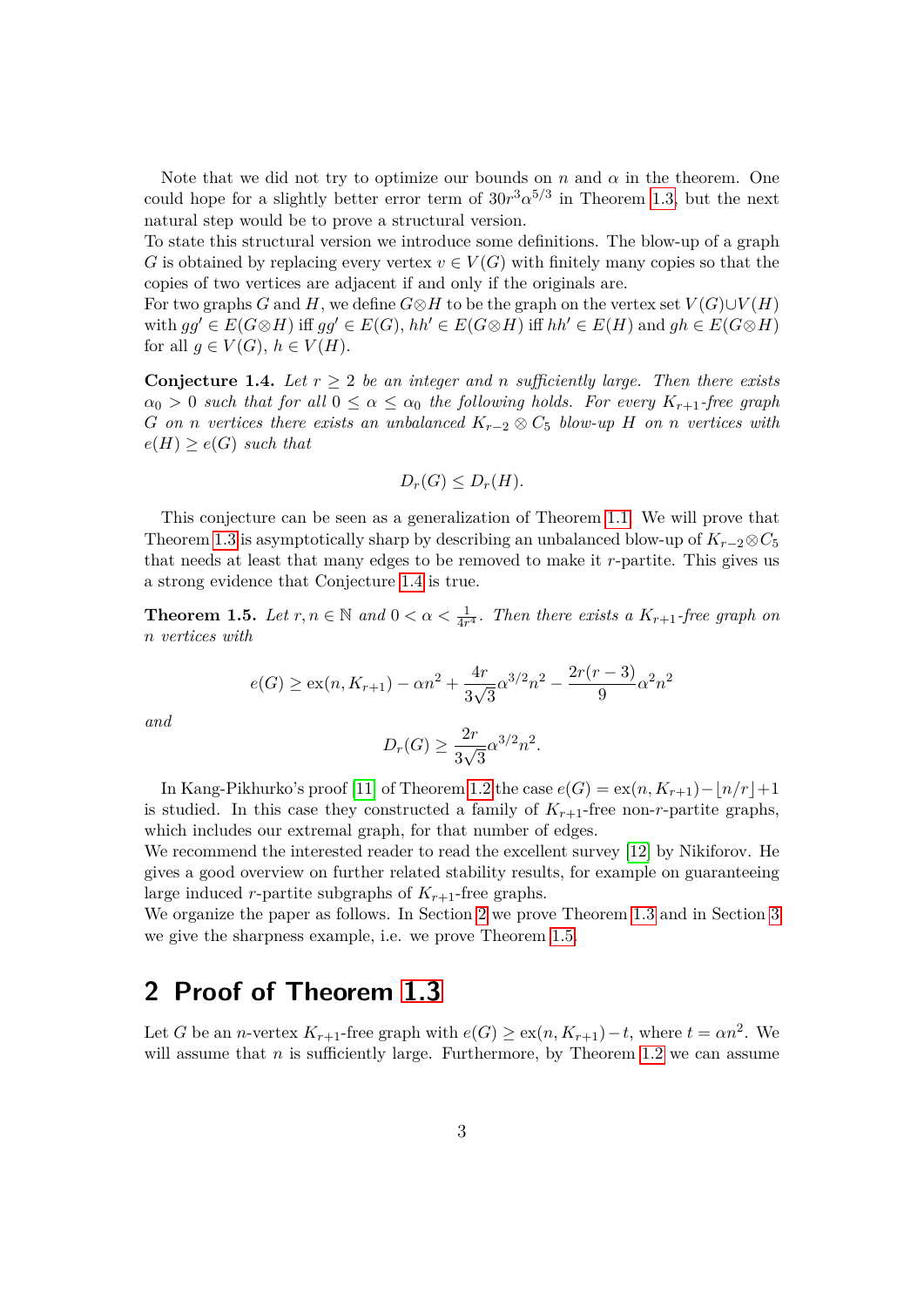Note that we did not try to optimize our bounds on  $n$  and  $\alpha$  in the theorem. One could hope for a slightly better error term of  $30r^3\alpha^{5/3}$  in Theorem [1.3,](#page-1-0) but the next natural step would be to prove a structural version.

To state this structural version we introduce some definitions. The blow-up of a graph *G* is obtained by replacing every vertex  $v \in V(G)$  with finitely many copies so that the copies of two vertices are adjacent if and only if the originals are.

For two graphs *G* and *H*, we define  $G \otimes H$  to be the graph on the vertex set  $V(G) \cup V(H)$ with  $gg' \in E(G \otimes H)$  iff  $gg' \in E(G)$ ,  $hh' \in E(G \otimes H)$  iff  $hh' \in E(H)$  and  $gh \in E(G \otimes H)$ for all  $g \in V(G)$ ,  $h \in V(H)$ .

<span id="page-2-0"></span>**Conjecture 1.4.** Let  $r \geq 2$  be an integer and *n* sufficiently large. Then there exists  $\alpha_0 > 0$  *such that for all*  $0 \leq \alpha \leq \alpha_0$  *the following holds. For every*  $K_{r+1}$ -free graph *G on n vertices there exists an unbalanced*  $K_{r-2} ⊗ C_5$  *blow-up H on n vertices with*  $e(H) \geq e(G)$  *such that* 

$$
D_r(G) \le D_r(H).
$$

This conjecture can be seen as a generalization of Theorem [1.1.](#page-1-1) We will prove that Theorem [1.3](#page-1-0) is asymptotically sharp by describing an unbalanced blow-up of  $K_{r-2} \otimes C_5$ that needs at least that many edges to be removed to make it *r*-partite. This gives us a strong evidence that Conjecture [1.4](#page-2-0) is true.

<span id="page-2-2"></span>**Theorem 1.5.** Let  $r, n \in \mathbb{N}$  and  $0 < \alpha < \frac{1}{4r^4}$ . Then there exists a  $K_{r+1}$ -free graph on *n vertices with*

$$
e(G) \ge \exp(n, K_{r+1}) - \alpha n^2 + \frac{4r}{3\sqrt{3}} \alpha^{3/2} n^2 - \frac{2r(r-3)}{9} \alpha^2 n^2
$$

*and*

$$
D_r(G) \ge \frac{2r}{3\sqrt{3}}\alpha^{3/2}n^2.
$$

In Kang-Pikhurko's proof [\[11\]](#page-10-8) of Theorem [1.2](#page-1-2) the case  $e(G) = \exp(n, K_{r+1}) - |n/r| + 1$ is studied. In this case they constructed a family of  $K_{r+1}$ -free non-*r*-partite graphs, which includes our extremal graph, for that number of edges.

We recommend the interested reader to read the excellent survey [\[12\]](#page-10-9) by Nikiforov. He gives a good overview on further related stability results, for example on guaranteeing large induced *r*-partite subgraphs of  $K_{r+1}$ -free graphs.

We organize the paper as follows. In Section [2](#page-2-1) we prove Theorem [1.3](#page-1-0) and in Section [3](#page-8-0) we give the sharpness example, i.e. we prove Theorem [1.5.](#page-2-2)

#### <span id="page-2-1"></span>**2 Proof of Theorem [1.3](#page-1-0)**

Let *G* be an *n*-vertex  $K_{r+1}$ -free graph with  $e(G) \geq ex(n, K_{r+1}) - t$ , where  $t = \alpha n^2$ . We will assume that  $n$  is sufficiently large. Furthermore, by Theorem [1.2](#page-1-2) we can assume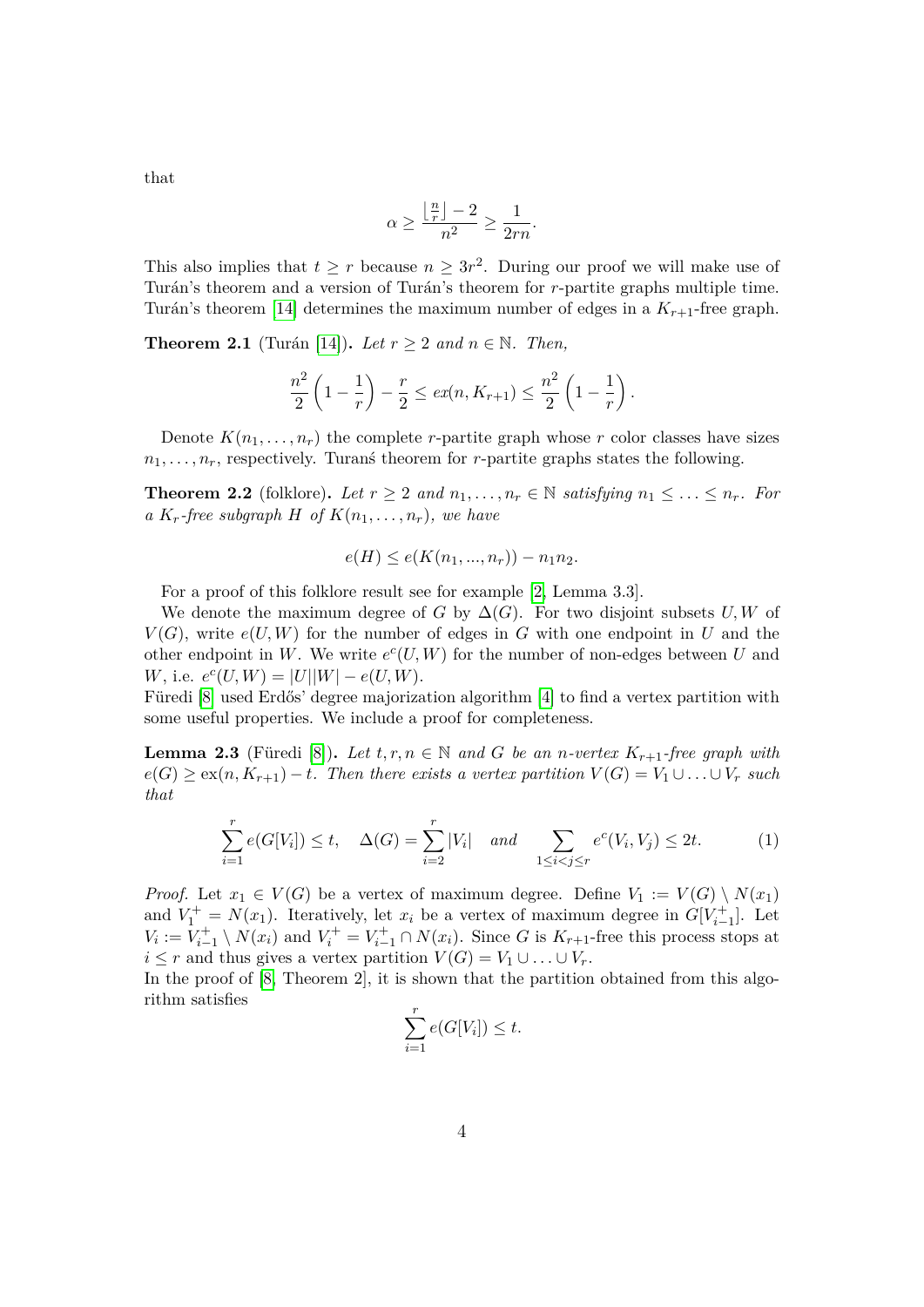that

$$
\alpha \ge \frac{\left\lfloor \frac{n}{r} \right\rfloor - 2}{n^2} \ge \frac{1}{2rn}.
$$

This also implies that  $t \geq r$  because  $n \geq 3r^2$ . During our proof we will make use of Turán's theorem and a version of Turán's theorem for *r*-partite graphs multiple time. Turán's theorem [\[14\]](#page-11-2) determines the maximum number of edges in a  $K_{r+1}$ -free graph.

**Theorem 2.1** (Turán [\[14\]](#page-11-2)). Let  $r \geq 2$  and  $n \in \mathbb{N}$ . Then,

$$
\frac{n^2}{2}\left(1-\frac{1}{r}\right) - \frac{r}{2} \le ex(n, K_{r+1}) \le \frac{n^2}{2}\left(1-\frac{1}{r}\right).
$$

Denote  $K(n_1, \ldots, n_r)$  the complete *r*-partite graph whose *r* color classes have sizes  $n_1, \ldots, n_r$ , respectively. Turans theorem for *r*-partite graphs states the following.

<span id="page-3-2"></span>**Theorem 2.2** (folklore). Let  $r \geq 2$  and  $n_1, \ldots, n_r \in \mathbb{N}$  satisfying  $n_1 \leq \ldots \leq n_r$ . For *a*  $K_r$ -free subgraph  $H$  of  $K(n_1, \ldots, n_r)$ , we have

$$
e(H) \le e(K(n_1, ..., n_r)) - n_1 n_2.
$$

For a proof of this folklore result see for example [\[2,](#page-10-10) Lemma 3.3].

We denote the maximum degree of *G* by  $\Delta(G)$ . For two disjoint subsets *U, W* of  $V(G)$ , write  $e(U, W)$  for the number of edges in *G* with one endpoint in *U* and the other endpoint in W. We write  $e^c(U, W)$  for the number of non-edges between U and *W*, i.e.  $e^{c}(U, W) = |U||W| - e(U, W)$ .

Füredi  $[8]$  used Erdős' degree majorization algorithm  $[4]$  to find a vertex partition with some useful properties. We include a proof for completeness.

**Lemma 2.3** (Füredi [\[8\]](#page-10-4)). Let  $t, r, n \in \mathbb{N}$  and G be an *n*-vertex  $K_{r+1}$ -free graph with  $e(G) \geq \text{ex}(n, K_{r+1}) - t$ *. Then there exists a vertex partition*  $V(G) = V_1 \cup \ldots \cup V_r$  *such that*

$$
\sum_{i=1}^{r} e(G[V_i]) \le t, \quad \Delta(G) = \sum_{i=2}^{r} |V_i| \quad and \quad \sum_{1 \le i < j \le r} e^c(V_i, V_j) \le 2t. \tag{1}
$$

*Proof.* Let  $x_1 \in V(G)$  be a vertex of maximum degree. Define  $V_1 := V(G) \setminus N(x_1)$ and  $V_1^+ = N(x_1)$ . Iteratively, let  $x_i$  be a vertex of maximum degree in  $G[V_{i-1}^+]$ . Let  $V_i := V_{i-1}^+ \setminus N(x_i)$  and  $V_i^+ = V_{i-1}^+ \cap N(x_i)$ . Since *G* is  $K_{r+1}$ -free this process stops at  $i \leq r$  and thus gives a vertex partition  $V(G) = V_1 \cup \ldots \cup V_r$ .

In the proof of [\[8,](#page-10-4) Theorem 2], it is shown that the partition obtained from this algorithm satisfies

<span id="page-3-1"></span><span id="page-3-0"></span>
$$
\sum_{i=1}^r e(G[V_i]) \le t.
$$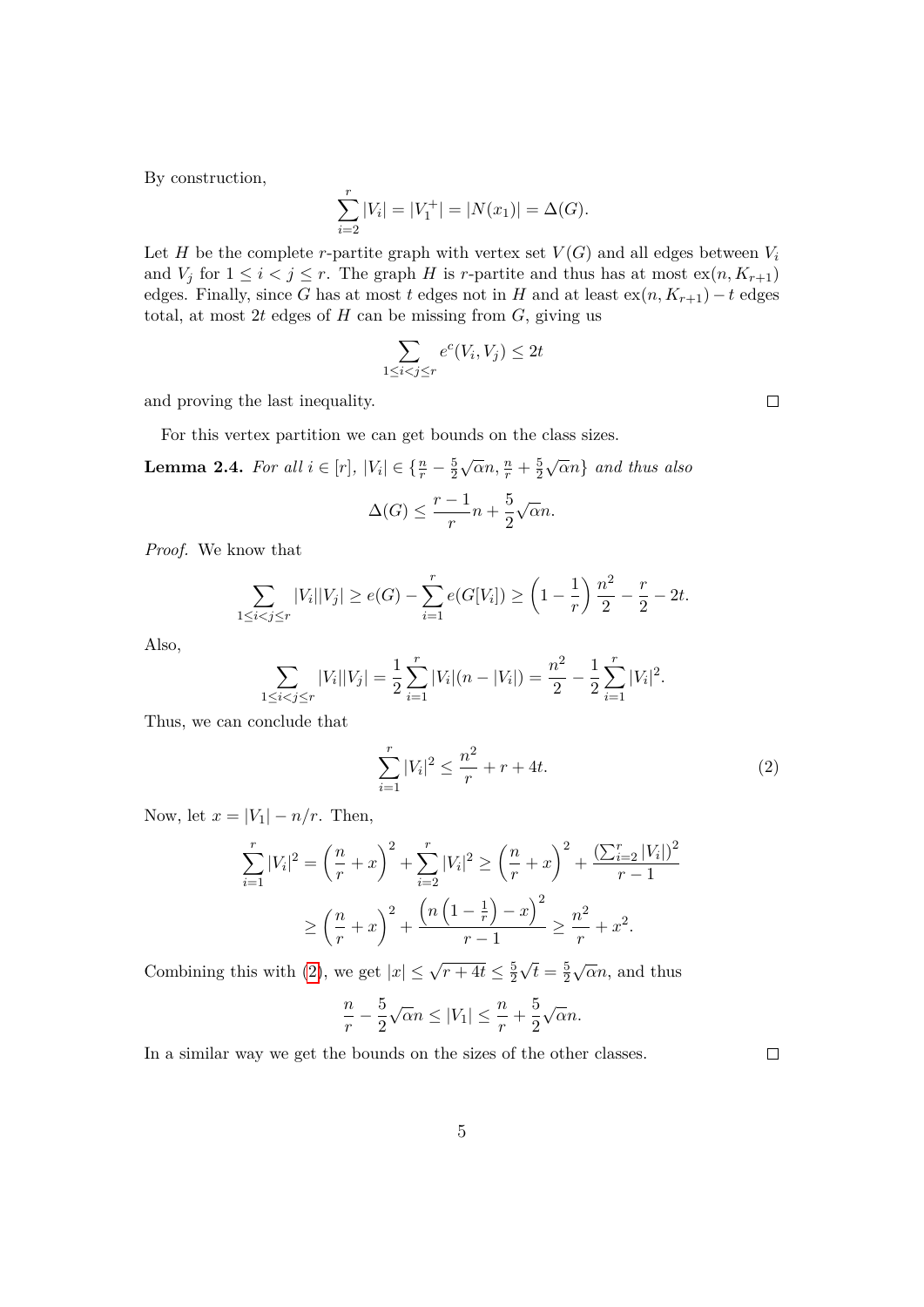By construction,

$$
\sum_{i=2}^{r} |V_i| = |V_1^+| = |N(x_1)| = \Delta(G).
$$

Let *H* be the complete *r*-partite graph with vertex set  $V(G)$  and all edges between  $V_i$ and  $V_j$  for  $1 \leq i < j \leq r$ . The graph *H* is *r*-partite and thus has at most  $ex(n, K_{r+1})$ edges. Finally, since *G* has at most *t* edges not in *H* and at least  $ex(n, K_{r+1}) - t$  edges total, at most 2t edges of  $H$  can be missing from  $G$ , giving us

$$
\sum_{1 \le i < j \le r} e^c(V_i, V_j) \le 2t
$$

and proving the last inequality.

For this vertex partition we can get bounds on the class sizes.

**Lemma 2.4.** *For all*  $i \in [r]$ ,  $|V_i| \in \{\frac{n}{r} - \frac{5}{2}\}$ 2  $\sqrt{\alpha}n, \frac{n}{r} + \frac{5}{2}$ 2 √ *αn*} *and thus also*

$$
\Delta(G) \le \frac{r-1}{r}n + \frac{5}{2}\sqrt{\alpha}n.
$$

*Proof.* We know that

$$
\sum_{1 \le i < j \le r} |V_i||V_j| \ge e(G) - \sum_{i=1}^r e(G[V_i]) \ge \left(1 - \frac{1}{r}\right) \frac{n^2}{2} - \frac{r}{2} - 2t.
$$

Also,

$$
\sum_{1 \leq i < j \leq r} |V_i||V_j| = \frac{1}{2} \sum_{i=1}^r |V_i|(n - |V_i|) = \frac{n^2}{2} - \frac{1}{2} \sum_{i=1}^r |V_i|^2.
$$

Thus, we can conclude that

$$
\sum_{i=1}^{r} |V_i|^2 \le \frac{n^2}{r} + r + 4t.
$$
\n(2)

Now, let  $x = |V_1| - n/r$ . Then,

$$
\sum_{i=1}^{r} |V_i|^2 = \left(\frac{n}{r} + x\right)^2 + \sum_{i=2}^{r} |V_i|^2 \ge \left(\frac{n}{r} + x\right)^2 + \frac{\left(\sum_{i=2}^{r} |V_i|\right)^2}{r - 1}
$$

$$
\ge \left(\frac{n}{r} + x\right)^2 + \frac{\left(n\left(1 - \frac{1}{r}\right) - x\right)^2}{r - 1} \ge \frac{n^2}{r} + x^2.
$$

Combining this with [\(2\)](#page-3-0), we get  $|x| \leq \sqrt{r+4t} \leq \frac{5}{2}$ 2  $\overline{t} = \frac{5}{2}$ 2  $\sqrt{\alpha}n$ , and thus

<span id="page-4-0"></span>
$$
\frac{n}{r} - \frac{5}{2}\sqrt{\alpha}n \le |V_1| \le \frac{n}{r} + \frac{5}{2}\sqrt{\alpha}n.
$$

In a similar way we get the bounds on the sizes of the other classes.

 $\Box$ 

 $\Box$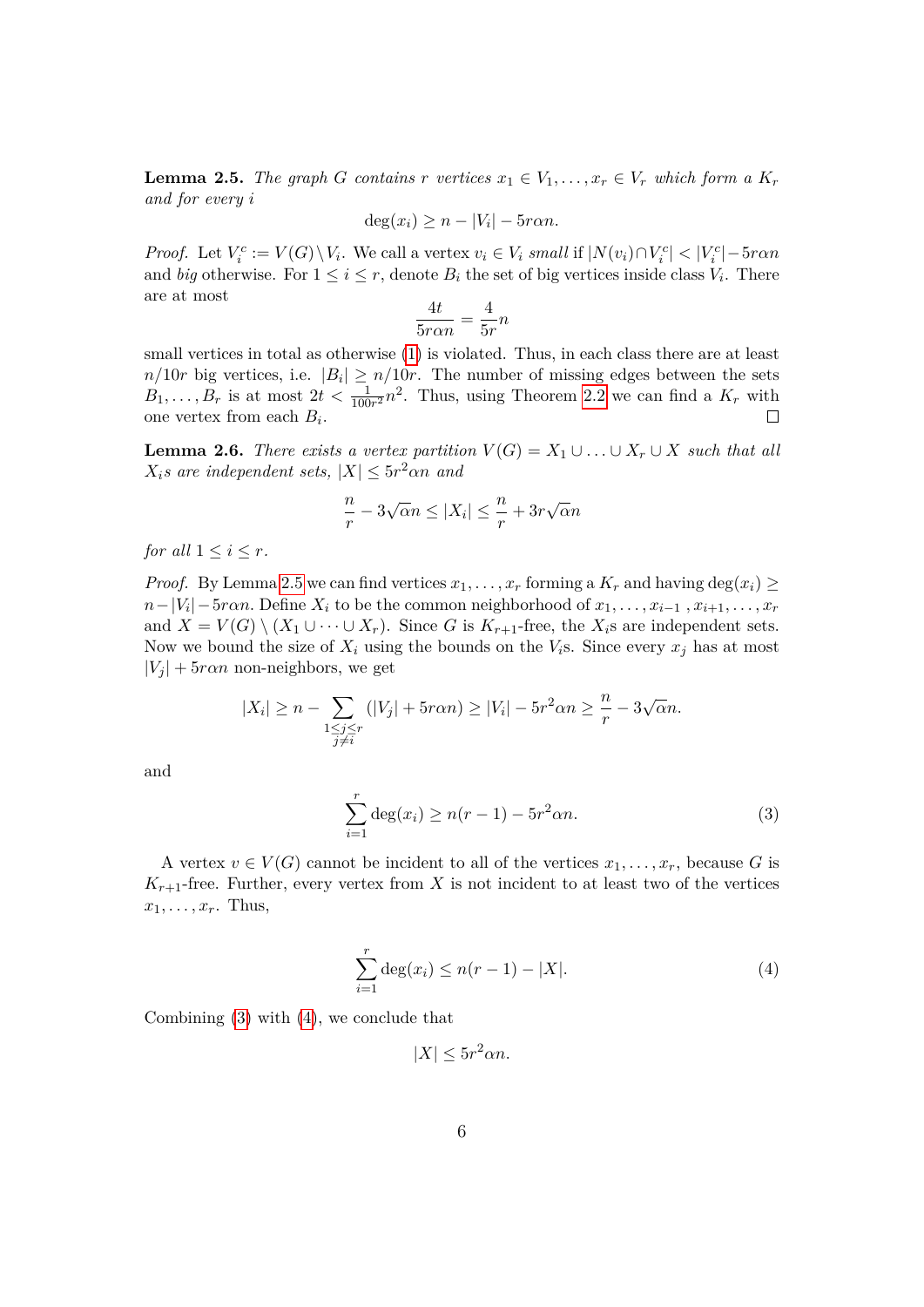<span id="page-5-0"></span>**Lemma 2.5.** *The graph G contains*  $r$  *vertices*  $x_1 \in V_1, \ldots, x_r \in V_r$  *which form a*  $K_r$ *and for every i*

$$
\deg(x_i) \ge n - |V_i| - 5r\alpha n.
$$

*Proof.* Let  $V_i^c := V(G) \setminus V_i$ . We call a vertex  $v_i \in V_i$  small if  $|N(v_i) \cap V_i^c| < |V_i^c| - 5r \alpha n$ and *big* otherwise. For  $1 \leq i \leq r$ , denote  $B_i$  the set of big vertices inside class  $V_i$ . There are at most

$$
\frac{4t}{5r\alpha n} = \frac{4}{5r}n
$$

small vertices in total as otherwise  $(1)$  is violated. Thus, in each class there are at least  $n/10r$  big vertices, i.e.  $|B_i| \geq n/10r$ . The number of missing edges between the sets  $B_1, \ldots, B_r$  is at most  $2t < \frac{1}{100r^2}n^2$ . Thus, using Theorem [2.2](#page-3-2) we can find a  $K_r$  with one vertex from each *B<sup>i</sup>* .  $\Box$ 

<span id="page-5-2"></span>**Lemma 2.6.** *There exists a vertex partition*  $V(G) = X_1 \cup \ldots \cup X_r \cup X$  *such that all*  $X_i$ *s* are independent sets,  $|X| \leq 5r^2 \alpha n$  and

$$
\frac{n}{r} - 3\sqrt{\alpha}n \le |X_i| \le \frac{n}{r} + 3r\sqrt{\alpha}n
$$

*for all*  $1 \leq i \leq r$ *.* 

*Proof.* By Lemma [2.5](#page-5-0) we can find vertices  $x_1, \ldots, x_r$  forming a  $K_r$  and having deg( $x_i$ ) ≥  $n - |V_i| - 5r$ αn. Define  $X_i$  to be the common neighborhood of  $x_1, \ldots, x_{i-1}$  *,*  $x_{i+1}, \ldots, x_r$ and  $X = V(G) \setminus (X_1 \cup \cdots \cup X_r)$ . Since *G* is  $K_{r+1}$ -free, the  $X_i$ s are independent sets. Now we bound the size of  $X_i$  using the bounds on the  $V_i$ s. Since every  $x_i$  has at most  $|V_i|$  + 5*ran* non-neighbors, we get

$$
|X_i| \ge n - \sum_{\substack{1 \le j \le r \\ j \ne i}} (|V_j| + 5r\alpha n) \ge |V_i| - 5r^2 \alpha n \ge \frac{n}{r} - 3\sqrt{\alpha} n.
$$

and

$$
\sum_{i=1}^{r} \deg(x_i) \ge n(r-1) - 5r^2 \alpha n.
$$
 (3)

A vertex  $v \in V(G)$  cannot be incident to all of the vertices  $x_1, \ldots, x_r$ , because G is  $K_{r+1}$ -free. Further, every vertex from X is not incident to at least two of the vertices  $x_1, \ldots, x_r$ . Thus,

$$
\sum_{i=1}^{r} \deg(x_i) \le n(r-1) - |X|.
$$
 (4)

Combining [\(3\)](#page-4-0) with [\(4\)](#page-5-1), we conclude that

<span id="page-5-1"></span> $|X| \leq 5r^2 \alpha n$ .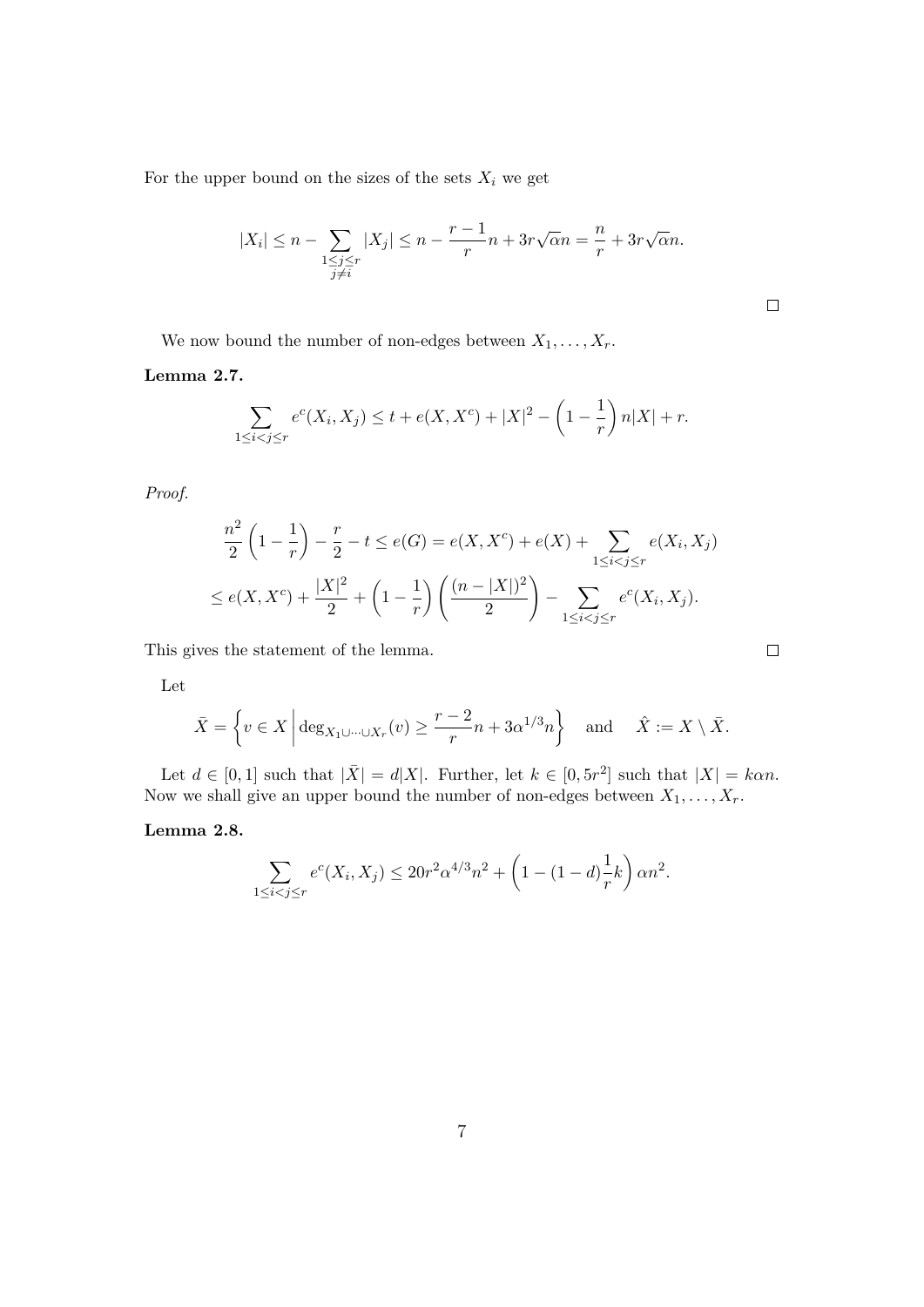For the upper bound on the sizes of the sets  $X_i$  we get

$$
|X_i| \le n - \sum_{\substack{1 \le j \le r \\ j \ne i}} |X_j| \le n - \frac{r-1}{r}n + 3r\sqrt{\alpha}n = \frac{n}{r} + 3r\sqrt{\alpha}n.
$$

 $\Box$ 

 $\Box$ 

We now bound the number of non-edges between  $X_1, \ldots, X_r$ .

<span id="page-6-0"></span>**Lemma 2.7.**

$$
\sum_{1 \le i < j \le r} e^c(X_i, X_j) \le t + e(X, X^c) + |X|^2 - \left(1 - \frac{1}{r}\right) n |X| + r.
$$

*Proof.*

$$
\frac{n^2}{2}\left(1-\frac{1}{r}\right) - \frac{r}{2} - t \le e(G) = e(X, X^c) + e(X) + \sum_{1 \le i < j \le r} e(X_i, X_j)
$$
\n
$$
\le e(X, X^c) + \frac{|X|^2}{2} + \left(1 - \frac{1}{r}\right)\left(\frac{(n-|X|)^2}{2}\right) - \sum_{1 \le i < j \le r} e^c(X_i, X_j).
$$

This gives the statement of the lemma.

Let

$$
\bar{X} = \left\{ v \in X \, \middle| \, \deg_{X_1 \cup \dots \cup X_r}(v) \ge \frac{r-2}{r} n + 3\alpha^{1/3} n \right\} \quad \text{and} \quad \hat{X} := X \setminus \bar{X}.
$$

Let  $d \in [0,1]$  such that  $|\bar{X}| = d|X|$ . Further, let  $k \in [0, 5r^2]$  such that  $|X| = k\alpha n$ . Now we shall give an upper bound the number of non-edges between *X*1*, . . . , Xr*.

#### <span id="page-6-1"></span>**Lemma 2.8.**

$$
\sum_{1 \le i < j \le r} e^c(X_i, X_j) \le 20r^2 \alpha^{4/3} n^2 + \left(1 - (1 - d)\frac{1}{r}k\right) \alpha n^2.
$$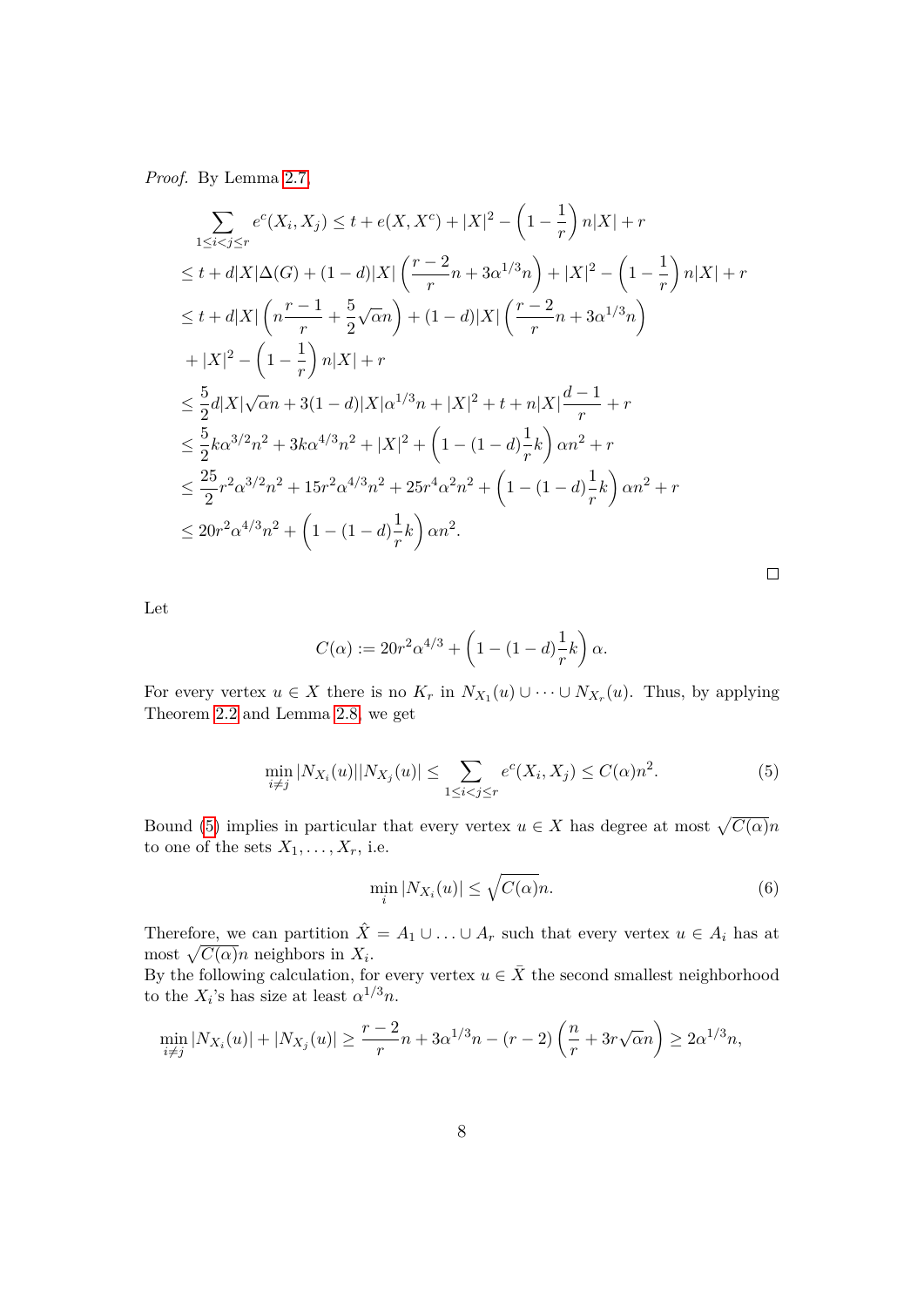*Proof.* By Lemma [2.7,](#page-6-0)

$$
\sum_{1 \leq i < j \leq r} e^{c}(X_i, X_j) \leq t + e(X, X^c) + |X|^2 - \left(1 - \frac{1}{r}\right)n|X| + r
$$
\n
$$
\leq t + d|X|\Delta(G) + (1 - d)|X|\left(\frac{r - 2}{r}n + 3\alpha^{1/3}n\right) + |X|^2 - \left(1 - \frac{1}{r}\right)n|X| + r
$$
\n
$$
\leq t + d|X|\left(n\frac{r - 1}{r} + \frac{5}{2}\sqrt{\alpha}n\right) + (1 - d)|X|\left(\frac{r - 2}{r}n + 3\alpha^{1/3}n\right)
$$
\n
$$
+ |X|^2 - \left(1 - \frac{1}{r}\right)n|X| + r
$$
\n
$$
\leq \frac{5}{2}d|X|\sqrt{\alpha}n + 3(1 - d)|X|\alpha^{1/3}n + |X|^2 + t + n|X|\frac{d - 1}{r} + r
$$
\n
$$
\leq \frac{5}{2}k\alpha^{3/2}n^2 + 3k\alpha^{4/3}n^2 + |X|^2 + \left(1 - (1 - d)\frac{1}{r}k\right)\alpha n^2 + r
$$
\n
$$
\leq \frac{25}{2}r^2\alpha^{3/2}n^2 + 15r^2\alpha^{4/3}n^2 + 25r^4\alpha^2n^2 + \left(1 - (1 - d)\frac{1}{r}k\right)\alpha n^2 + r
$$
\n
$$
\leq 20r^2\alpha^{4/3}n^2 + \left(1 - (1 - d)\frac{1}{r}k\right)\alpha n^2.
$$

Let

$$
C(\alpha) := 20r^{2}\alpha^{4/3} + \left(1 - (1 - d)\frac{1}{r}k\right)\alpha.
$$

For every vertex  $u \in X$  there is no  $K_r$  in  $N_{X_1}(u) \cup \cdots \cup N_{X_r}(u)$ . Thus, by applying Theorem [2.2](#page-3-2) and Lemma [2.8,](#page-6-1) we get

$$
\min_{i \neq j} |N_{X_i}(u)| |N_{X_j}(u)| \le \sum_{1 \le i < j \le r} e^c(X_i, X_j) \le C(\alpha) n^2. \tag{5}
$$

Bound [\(5\)](#page-7-0) implies in particular that every vertex  $u \in X$  has degree at most  $\sqrt{C(\alpha)}n$ to one of the sets  $X_1, \ldots, X_r$ , i.e.

$$
\min_{i} |N_{X_i}(u)| \le \sqrt{C(\alpha)}n. \tag{6}
$$

<span id="page-7-1"></span><span id="page-7-0"></span> $\Box$ 

Therefore, we can partition  $\hat{X} = A_1 \cup ... \cup A_r$  such that every vertex  $u \in A_i$  has at most  $\sqrt{C(\alpha)}n$  neighbors in  $X_i$ .

By the following calculation, for every vertex  $u \in \overline{X}$  the second smallest neighborhood to the  $X_i$ 's has size at least  $\alpha^{1/3}n$ .

$$
\min_{i \neq j} |N_{X_i}(u)| + |N_{X_j}(u)| \ge \frac{r-2}{r}n + 3\alpha^{1/3}n - (r-2)\left(\frac{n}{r} + 3r\sqrt{\alpha}n\right) \ge 2\alpha^{1/3}n,
$$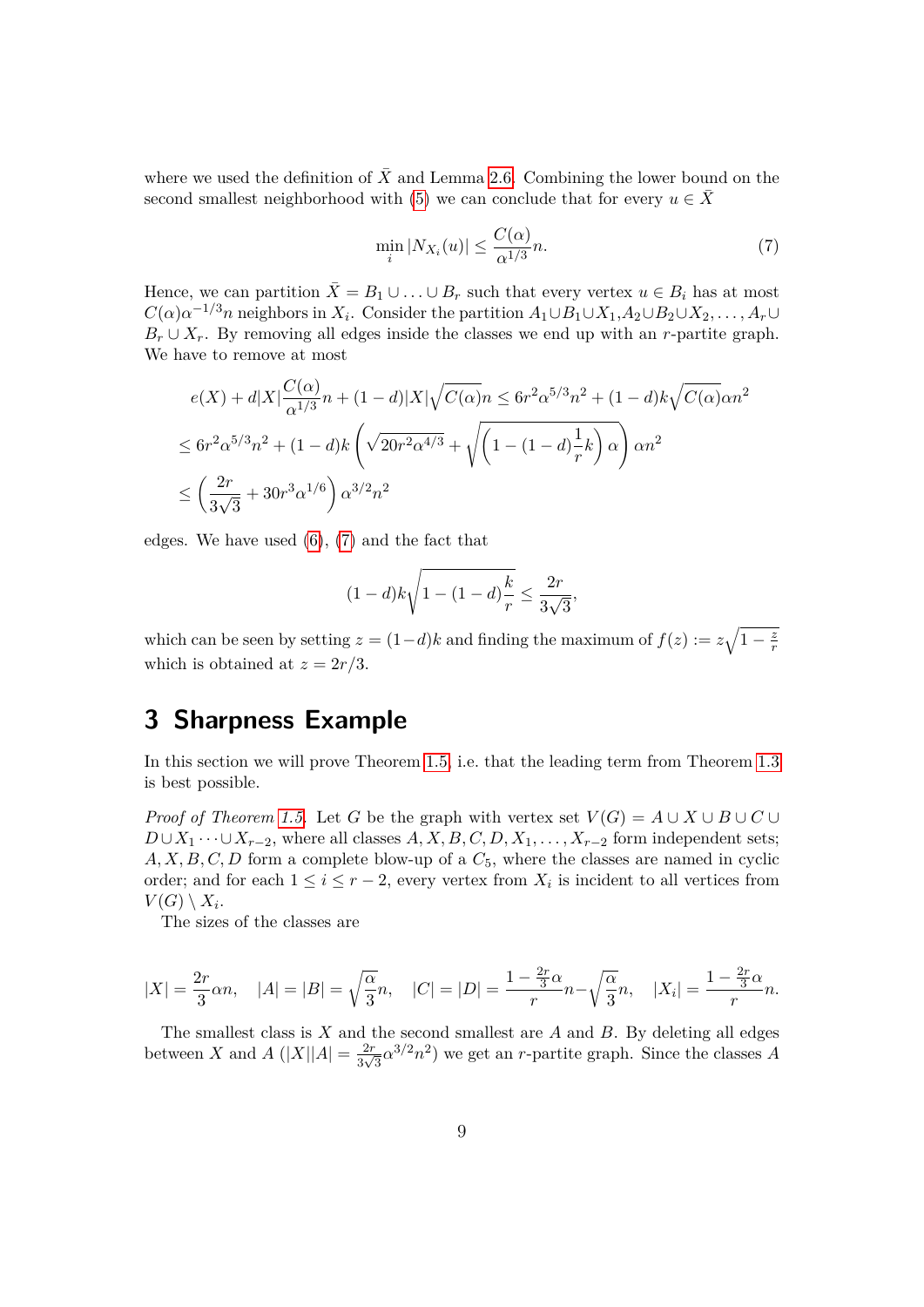where we used the definition of  $\overline{X}$  and Lemma [2.6.](#page-5-2) Combining the lower bound on the second smallest neighborhood with [\(5\)](#page-7-0) we can conclude that for every  $u \in \overline{X}$ 

<span id="page-8-1"></span>
$$
\min_{i} |N_{X_i}(u)| \le \frac{C(\alpha)}{\alpha^{1/3}} n. \tag{7}
$$

Hence, we can partition  $\bar{X} = B_1 \cup ... \cup B_r$  such that every vertex  $u \in B_i$  has at most  $C(\alpha)\alpha^{-1/3}n$  neighbors in *X*<sub>*i*</sub></sub>. Consider the partition  $A_1 \cup B_1 \cup X_1, A_2 \cup B_2 \cup X_2, \ldots, A_r \cup$  $B_r \cup X_r$ . By removing all edges inside the classes we end up with an *r*-partite graph. We have to remove at most

$$
e(X) + d|X| \frac{C(\alpha)}{\alpha^{1/3}} n + (1 - d)|X|\sqrt{C(\alpha)}n \le 6r^2 \alpha^{5/3} n^2 + (1 - d)k\sqrt{C(\alpha)}\alpha n^2
$$
  

$$
\le 6r^2 \alpha^{5/3} n^2 + (1 - d)k \left(\sqrt{20r^2 \alpha^{4/3}} + \sqrt{\left(1 - (1 - d)\frac{1}{r}k\right)\alpha}\right) \alpha n^2
$$
  

$$
\le \left(\frac{2r}{3\sqrt{3}} + 30r^3 \alpha^{1/6}\right) \alpha^{3/2} n^2
$$

edges. We have used [\(6\)](#page-7-1), [\(7\)](#page-8-1) and the fact that

$$
(1-d)k\sqrt{1-(1-d)\frac{k}{r}} \le \frac{2r}{3\sqrt{3}},
$$

which can be seen by setting  $z = (1-d)k$  and finding the maximum of  $f(z) := z\sqrt{1-\frac{z^2}{r^2}}$ *r* which is obtained at  $z = 2r/3$ .

## <span id="page-8-0"></span>**3 Sharpness Example**

In this section we will prove Theorem [1.5,](#page-2-2) i.e. that the leading term from Theorem [1.3](#page-1-0) is best possible.

*Proof of Theorem [1.5.](#page-2-2)* Let *G* be the graph with vertex set  $V(G) = A \cup X \cup B \cup C \cup$  $D \cup X_1 \cdots \cup X_{r-2}$ , where all classes  $A, X, B, C, D, X_1, \ldots, X_{r-2}$  form independent sets;  $A, X, B, C, D$  form a complete blow-up of a  $C_5$ , where the classes are named in cyclic order; and for each  $1 \leq i \leq r-2$ , every vertex from  $X_i$  is incident to all vertices from  $V(G) \setminus X_i$ .

The sizes of the classes are

$$
|X| = \frac{2r}{3}\alpha n, \quad |A| = |B| = \sqrt{\frac{\alpha}{3}}n, \quad |C| = |D| = \frac{1 - \frac{2r}{3}\alpha}{r}n - \sqrt{\frac{\alpha}{3}}n, \quad |X_i| = \frac{1 - \frac{2r}{3}\alpha}{r}n.
$$

The smallest class is *X* and the second smallest are *A* and *B*. By deleting all edges between *X* and *A* ( $|X||A| = \frac{2r}{2}$  $\frac{2r}{3\sqrt{3}}\alpha^{3/2}n^2$ ) we get an *r*-partite graph. Since the classes *A*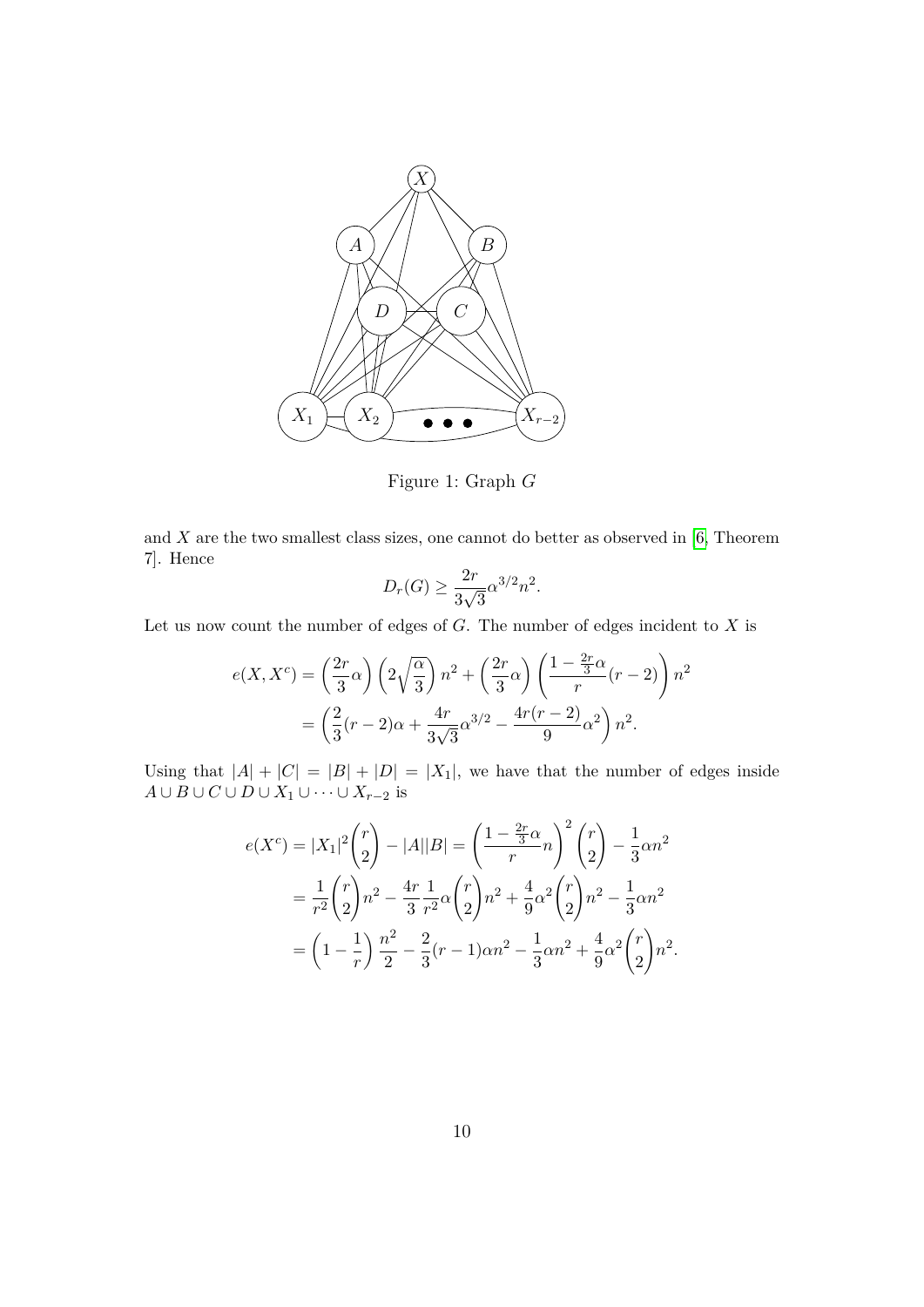

Figure 1: Graph *G*

and  $X$  are the two smallest class sizes, one cannot do better as observed in  $[6,$  Theorem 7]. Hence

$$
D_r(G) \ge \frac{2r}{3\sqrt{3}}\alpha^{3/2}n^2.
$$

Let us now count the number of edges of *G*. The number of edges incident to *X* is

$$
e(X, X^c) = \left(\frac{2r}{3}\alpha\right) \left(2\sqrt{\frac{\alpha}{3}}\right) n^2 + \left(\frac{2r}{3}\alpha\right) \left(\frac{1 - \frac{2r}{3}\alpha}{r}(r - 2)\right) n^2
$$
  
= 
$$
\left(\frac{2}{3}(r - 2)\alpha + \frac{4r}{3\sqrt{3}}\alpha^{3/2} - \frac{4r(r - 2)}{9}\alpha^2\right) n^2.
$$

Using that  $|A| + |C| = |B| + |D| = |X_1|$ , we have that the number of edges inside *A* ∪ *B* ∪ *C* ∪ *D* ∪ *X*<sub>1</sub> ∪ · · · ∪ *X*<sub>*r*−2</sub> is

$$
e(X^{c}) = |X_{1}|^{2} {r \choose 2} - |A||B| = \left(\frac{1 - \frac{2r}{3}\alpha}{r}n\right)^{2} {r \choose 2} - \frac{1}{3}\alpha n^{2}
$$
  
=  $\frac{1}{r^{2}} {r \choose 2} n^{2} - \frac{4r}{3} \frac{1}{r^{2}} \alpha {r \choose 2} n^{2} + \frac{4}{9}\alpha^{2} {r \choose 2} n^{2} - \frac{1}{3}\alpha n^{2}$   
=  $\left(1 - \frac{1}{r}\right) \frac{n^{2}}{2} - \frac{2}{3}(r - 1)\alpha n^{2} - \frac{1}{3}\alpha n^{2} + \frac{4}{9}\alpha^{2} {r \choose 2} n^{2}.$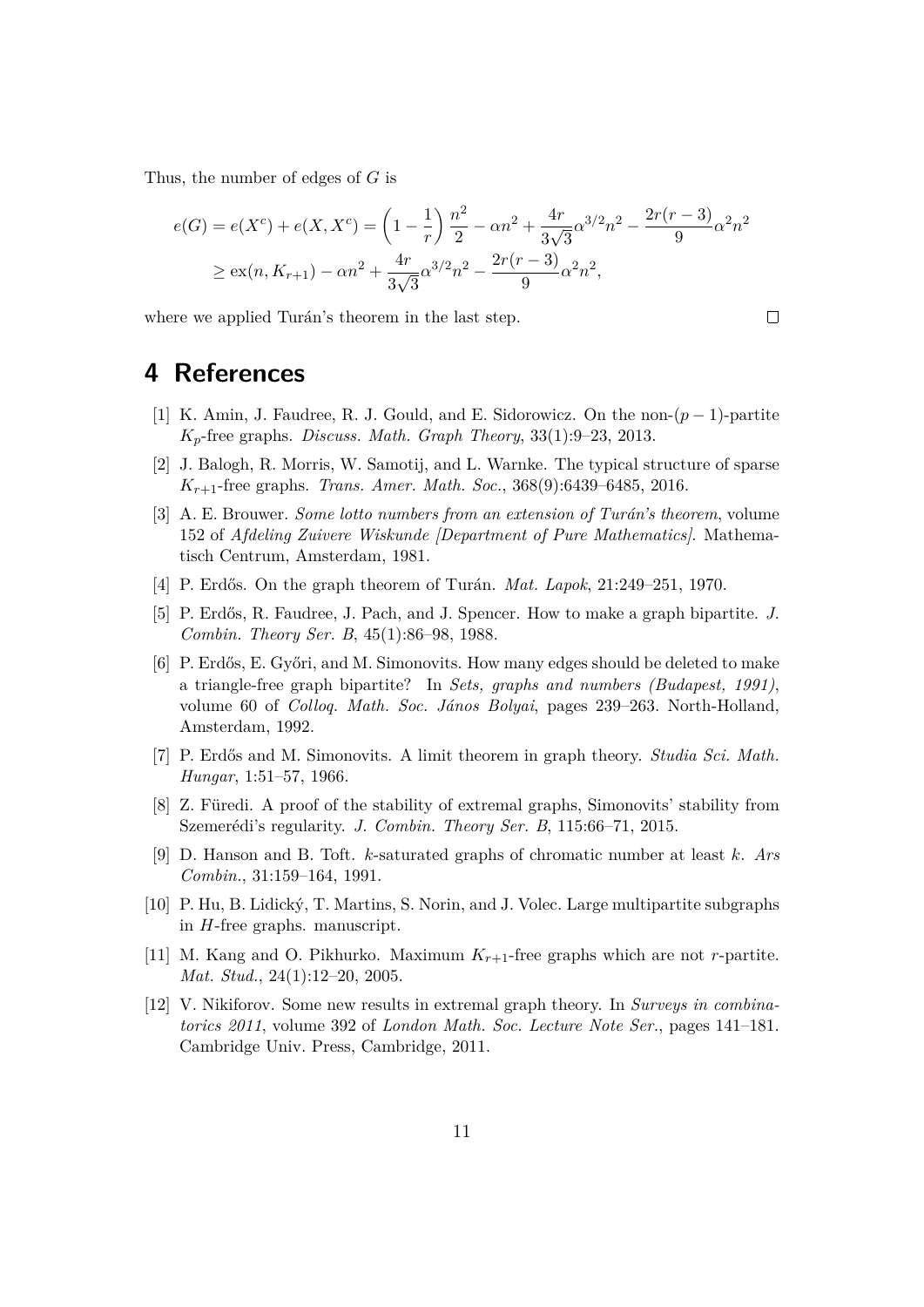Thus, the number of edges of *G* is

$$
e(G) = e(X^{c}) + e(X, X^{c}) = \left(1 - \frac{1}{r}\right) \frac{n^{2}}{2} - \alpha n^{2} + \frac{4r}{3\sqrt{3}} \alpha^{3/2} n^{2} - \frac{2r(r-3)}{9} \alpha^{2} n^{2}
$$
  
\n
$$
\geq \alpha(n, K_{r+1}) - \alpha n^{2} + \frac{4r}{3\sqrt{3}} \alpha^{3/2} n^{2} - \frac{2r(r-3)}{9} \alpha^{2} n^{2},
$$

 $\Box$ 

where we applied Turán's theorem in the last step.

#### **4 References**

- <span id="page-10-6"></span>[1] K. Amin, J. Faudree, R. J. Gould, and E. Sidorowicz. On the non-(*p* − 1)-partite *Kp*-free graphs. *Discuss. Math. Graph Theory*, 33(1):9–23, 2013.
- <span id="page-10-10"></span>[2] J. Balogh, R. Morris, W. Samotij, and L. Warnke. The typical structure of sparse *Kr*+1-free graphs. *Trans. Amer. Math. Soc.*, 368(9):6439–6485, 2016.
- <span id="page-10-5"></span>[3] A. E. Brouwer. *Some lotto numbers from an extension of Turán's theorem*, volume 152 of *Afdeling Zuivere Wiskunde [Department of Pure Mathematics]*. Mathematisch Centrum, Amsterdam, 1981.
- <span id="page-10-11"></span>[4] P. Erdős. On the graph theorem of Turán. *Mat. Lapok*, 21:249–251, 1970.
- <span id="page-10-0"></span>[5] P. Erd˝os, R. Faudree, J. Pach, and J. Spencer. How to make a graph bipartite. *J. Combin. Theory Ser. B*, 45(1):86–98, 1988.
- <span id="page-10-1"></span>[6] P. Erdős, E. Győri, and M. Simonovits. How many edges should be deleted to make a triangle-free graph bipartite? In *Sets, graphs and numbers (Budapest, 1991)*, volume 60 of *Colloq. Math. Soc. J´anos Bolyai*, pages 239–263. North-Holland, Amsterdam, 1992.
- <span id="page-10-3"></span>[7] P. Erdős and M. Simonovits. A limit theorem in graph theory. *Studia Sci. Math. Hungar*, 1:51–57, 1966.
- <span id="page-10-4"></span>[8] Z. Füredi. A proof of the stability of extremal graphs, Simonovits' stability from Szemerédi's regularity. *J. Combin. Theory Ser. B*, 115:66–71, 2015.
- <span id="page-10-7"></span>[9] D. Hanson and B. Toft. *k*-saturated graphs of chromatic number at least *k*. *Ars Combin.*, 31:159–164, 1991.
- <span id="page-10-2"></span>[10] P. Hu, B. Lidick´y, T. Martins, S. Norin, and J. Volec. Large multipartite subgraphs in *H*-free graphs. manuscript.
- <span id="page-10-8"></span>[11] M. Kang and O. Pikhurko. Maximum *Kr*+1-free graphs which are not *r*-partite. *Mat. Stud.*, 24(1):12–20, 2005.
- <span id="page-10-9"></span>[12] V. Nikiforov. Some new results in extremal graph theory. In *Surveys in combinatorics 2011*, volume 392 of *London Math. Soc. Lecture Note Ser.*, pages 141–181. Cambridge Univ. Press, Cambridge, 2011.